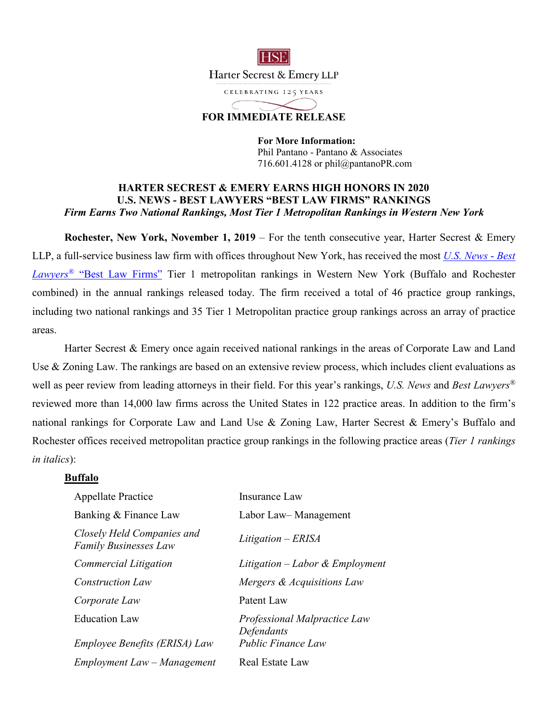

# **FOR IMMEDIATE RELEASE**

**For More Information:**  Phil Pantano - Pantano & Associates 716.601.4128 or phil@pantanoPR.com

### **HARTER SECREST & EMERY EARNS HIGH HONORS IN 2020 U.S. NEWS - BEST LAWYERS "BEST LAW FIRMS" RANKINGS**  *Firm Earns Two National Rankings, Most Tier 1 Metropolitan Rankings in Western New York*

**Rochester, New York, November 1, 2019** – For the tenth consecutive year, Harter Secrest & Emery LLP, a full-service business law firm with offices throughout New York, has received the most *U.S. News* - *Best Lawyers®* "Best Law Firms" Tier 1 metropolitan rankings in Western New York (Buffalo and Rochester combined) in the annual rankings released today. The firm received a total of 46 practice group rankings, including two national rankings and 35 Tier 1 Metropolitan practice group rankings across an array of practice areas.

Harter Secrest & Emery once again received national rankings in the areas of Corporate Law and Land Use & Zoning Law. The rankings are based on an extensive review process, which includes client evaluations as well as peer review from leading attorneys in their field. For this year's rankings, *U.S. News* and *Best Lawyers®* reviewed more than 14,000 law firms across the United States in 122 practice areas. In addition to the firm's national rankings for Corporate Law and Land Use & Zoning Law, Harter Secrest & Emery's Buffalo and Rochester offices received metropolitan practice group rankings in the following practice areas (*Tier 1 rankings in italics*):

#### **Buffalo**

| <b>Appellate Practice</b>                                  | Insurance Law                              |
|------------------------------------------------------------|--------------------------------------------|
| Banking & Finance Law                                      | Labor Law-Management                       |
| Closely Held Companies and<br><b>Family Businesses Law</b> | $Litigation - ERISA$                       |
| Commercial Litigation                                      | Litigation – Labor & Employment            |
| <b>Construction Law</b>                                    | Mergers & Acquisitions Law                 |
| Corporate Law                                              | Patent Law                                 |
| <b>Education Law</b>                                       | Professional Malpractice Law<br>Defendants |
| <i>Employee Benefits (ERISA) Law</i>                       | <b>Public Finance Law</b>                  |
| $Employment Law-Management$                                | Real Estate Law                            |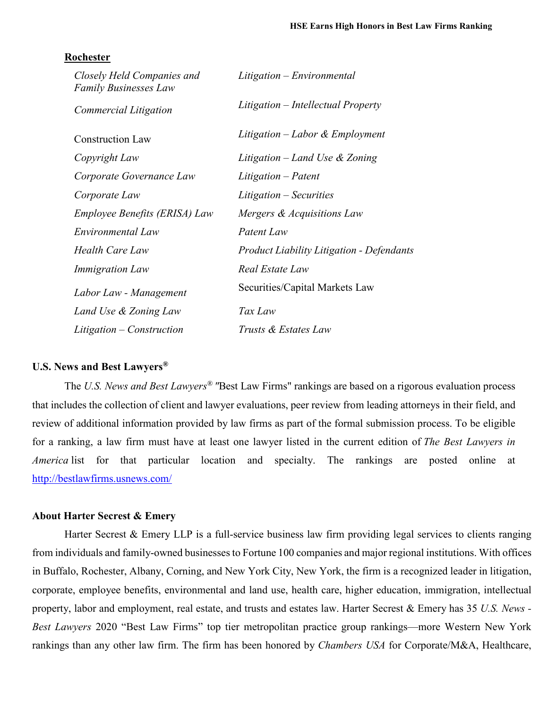#### **Rochester**

| Closely Held Companies and<br>Family Businesses Law | Litigation – Environmental                       |
|-----------------------------------------------------|--------------------------------------------------|
| Commercial Litigation                               | Litigation – Intellectual Property               |
| <b>Construction Law</b>                             | Litigation – Labor & Employment                  |
| Copyright Law                                       | Litigation – Land Use $\&$ Zoning                |
| Corporate Governance Law                            | Litigation – Patent                              |
| Corporate Law                                       | Litigation – Securities                          |
| Employee Benefits (ERISA) Law                       | Mergers & Acquisitions Law                       |
| Environmental Law                                   | Patent Law                                       |
| Health Care Law                                     | <b>Product Liability Litigation - Defendants</b> |
| <i>Immigration Law</i>                              | Real Estate Law                                  |
| Labor Law - Management                              | Securities/Capital Markets Law                   |
| Land Use & Zoning Law                               | Tax Law                                          |
| Litigation – Construction                           | Trusts & Estates Law                             |

### **U.S. News and Best Lawyers®**

The *U.S. News and Best Lawyers® "*Best Law Firms" rankings are based on a rigorous evaluation process that includes the collection of client and lawyer evaluations, peer review from leading attorneys in their field, and review of additional information provided by law firms as part of the formal submission process. To be eligible for a ranking, a law firm must have at least one lawyer listed in the current edition of *The Best Lawyers in America* list for that particular location and specialty. The rankings are posted online at http://bestlawfirms.usnews.com/

## **About Harter Secrest & Emery**

Harter Secrest & Emery LLP is a full-service business law firm providing legal services to clients ranging from individuals and family-owned businesses to Fortune 100 companies and major regional institutions. With offices in Buffalo, Rochester, Albany, Corning, and New York City, New York, the firm is a recognized leader in litigation, corporate, employee benefits, environmental and land use, health care, higher education, immigration, intellectual property, labor and employment, real estate, and trusts and estates law. Harter Secrest & Emery has 35 *U.S. News - Best Lawyers* 2020 "Best Law Firms" top tier metropolitan practice group rankings—more Western New York rankings than any other law firm. The firm has been honored by *Chambers USA* for Corporate/M&A, Healthcare,